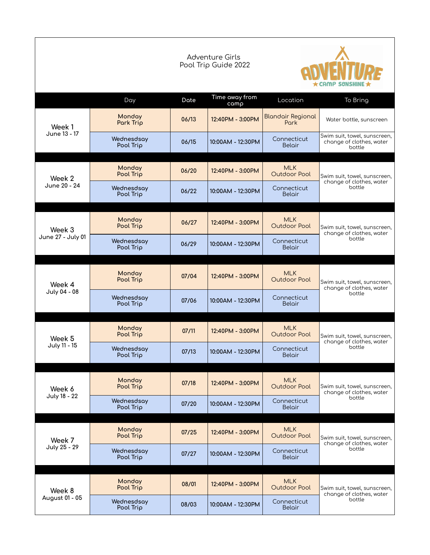